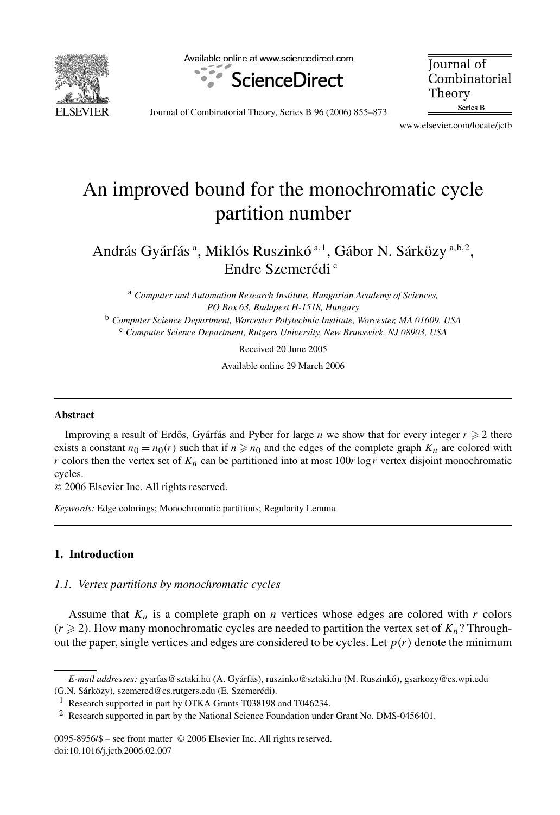

Available online at www.sciencedirect.com



**Journal** of Combinatorial Theory Series B

Journal of Combinatorial Theory, Series B 96 (2006) 855–873

www.elsevier.com/locate/jctb

# An improved bound for the monochromatic cycle partition number

András Gyárfás <sup>a</sup> , Miklós Ruszinkó <sup>a</sup>*,*<sup>1</sup> , Gábor N. Sárközy <sup>a</sup>*,*b*,*<sup>2</sup> , Endre Szemerédi<sup>c</sup>

<sup>a</sup> *Computer and Automation Research Institute, Hungarian Academy of Sciences, PO Box 63, Budapest H-1518, Hungary* <sup>b</sup> *Computer Science Department, Worcester Polytechnic Institute, Worcester, MA 01609, USA*

<sup>c</sup> *Computer Science Department, Rutgers University, New Brunswick, NJ 08903, USA*

Received 20 June 2005

Available online 29 March 2006

#### **Abstract**

Improving a result of Erdős, Gyárfás and Pyber for large *n* we show that for every integer  $r \geq 2$  there exists a constant  $n_0 = n_0(r)$  such that if  $n \ge n_0$  and the edges of the complete graph  $K_n$  are colored with *r* colors then the vertex set of  $K_n$  can be partitioned into at most 100*r* log *r* vertex disjoint monochromatic cycles.

© 2006 Elsevier Inc. All rights reserved.

*Keywords:* Edge colorings; Monochromatic partitions; Regularity Lemma

# **1. Introduction**

## *1.1. Vertex partitions by monochromatic cycles*

Assume that  $K_n$  is a complete graph on *n* vertices whose edges are colored with *r* colors  $(r \geq 2)$ . How many monochromatic cycles are needed to partition the vertex set of  $K_n$ ? Throughout the paper, single vertices and edges are considered to be cycles. Let  $p(r)$  denote the minimum

0095-8956/\$ – see front matter © 2006 Elsevier Inc. All rights reserved. doi:10.1016/j.jctb.2006.02.007

*E-mail addresses:* gyarfas@sztaki.hu (A. Gyárfás), ruszinko@sztaki.hu (M. Ruszinkó), gsarkozy@cs.wpi.edu (G.N. Sárközy), szemered@cs.rutgers.edu (E. Szemerédi).

<sup>1</sup> Research supported in part by OTKA Grants T038198 and T046234.

<sup>2</sup> Research supported in part by the National Science Foundation under Grant No. DMS-0456401.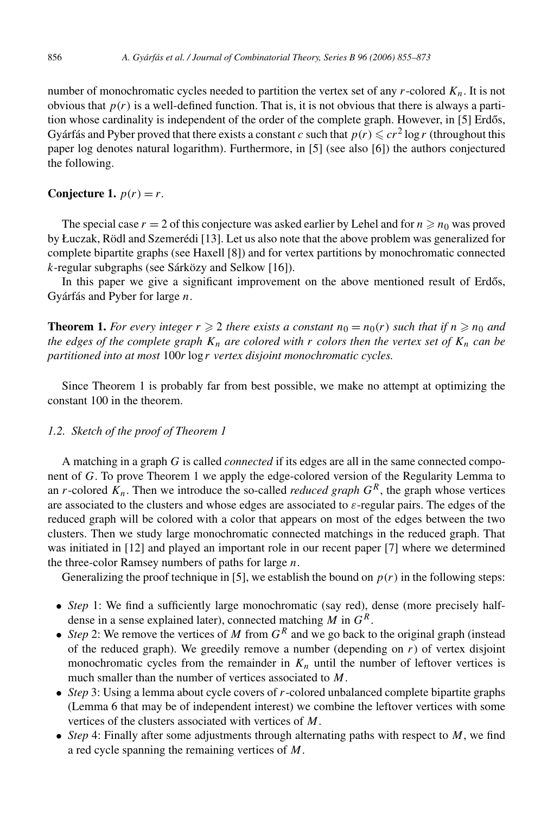number of monochromatic cycles needed to partition the vertex set of any *r*-colored *Kn*. It is not obvious that  $p(r)$  is a well-defined function. That is, it is not obvious that there is always a partition whose cardinality is independent of the order of the complete graph. However, in [5] Erdős, Gyárfás and Pyber proved that there exists a constant *c* such that  $p(r) \leqslant cr^2 \log r$  (throughout this paper log denotes natural logarithm). Furthermore, in [5] (see also [6]) the authors conjectured the following.

# **Conjecture 1.**  $p(r) = r$ .

The special case  $r = 2$  of this conjecture was asked earlier by Lehel and for  $n \ge n_0$  was proved by Łuczak, Rödl and Szemerédi [13]. Let us also note that the above problem was generalized for complete bipartite graphs (see Haxell [8]) and for vertex partitions by monochromatic connected *k*-regular subgraphs (see Sárközy and Selkow [16]).

In this paper we give a significant improvement on the above mentioned result of Erdős, Gyárfás and Pyber for large *n*.

**Theorem 1.** For every integer  $r \geq 2$  there exists a constant  $n_0 = n_0(r)$  such that if  $n \geq n_0$  and *the edges of the complete graph*  $K_n$  *are colored with*  $r$  *colors then the vertex set of*  $K_n$  *can be partitioned into at most* 100*r* log *r vertex disjoint monochromatic cycles.*

Since Theorem 1 is probably far from best possible, we make no attempt at optimizing the constant 100 in the theorem.

## *1.2. Sketch of the proof of Theorem 1*

A matching in a graph *G* is called *connected* if its edges are all in the same connected component of *G*. To prove Theorem 1 we apply the edge-colored version of the Regularity Lemma to an *r*-colored  $K_n$ . Then we introduce the so-called *reduced graph*  $G^R$ , the graph whose vertices are associated to the clusters and whose edges are associated to *ε*-regular pairs. The edges of the reduced graph will be colored with a color that appears on most of the edges between the two clusters. Then we study large monochromatic connected matchings in the reduced graph. That was initiated in [12] and played an important role in our recent paper [7] where we determined the three-color Ramsey numbers of paths for large *n*.

Generalizing the proof technique in [5], we establish the bound on  $p(r)$  in the following steps:

- *Step* 1: We find a sufficiently large monochromatic (say red), dense (more precisely halfdense in a sense explained later), connected matching *M* in *GR*.
- *Step* 2: We remove the vertices of *M* from  $G<sup>R</sup>$  and we go back to the original graph (instead of the reduced graph). We greedily remove a number (depending on  $r$ ) of vertex disjoint monochromatic cycles from the remainder in  $K_n$  until the number of leftover vertices is much smaller than the number of vertices associated to *M*.
- *Step* 3: Using a lemma about cycle covers of *r*-colored unbalanced complete bipartite graphs (Lemma 6 that may be of independent interest) we combine the leftover vertices with some vertices of the clusters associated with vertices of *M*.
- *Step* 4: Finally after some adjustments through alternating paths with respect to *M*, we find a red cycle spanning the remaining vertices of *M*.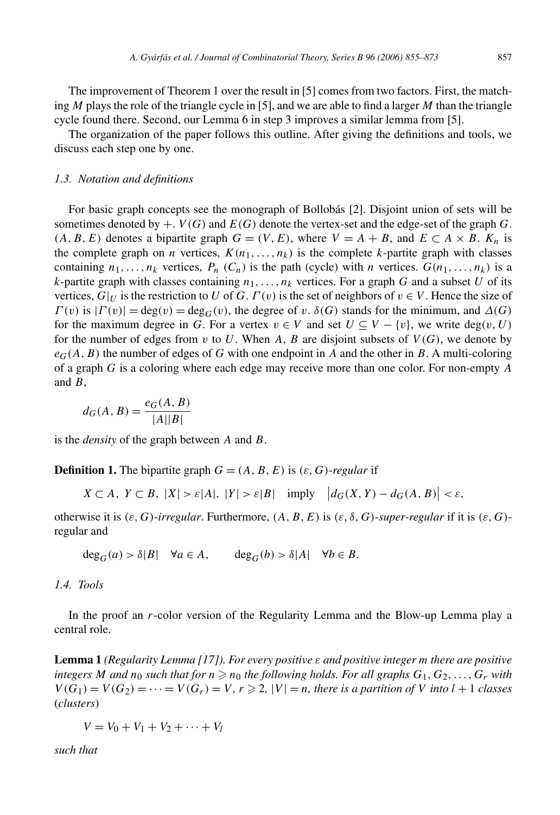The improvement of Theorem 1 over the result in [5] comes from two factors. First, the matching *M* plays the role of the triangle cycle in [5], and we are able to find a larger *M* than the triangle cycle found there. Second, our Lemma 6 in step 3 improves a similar lemma from [5].

The organization of the paper follows this outline. After giving the definitions and tools, we discuss each step one by one.

#### *1.3. Notation and definitions*

For basic graph concepts see the monograph of Bollobás [2]. Disjoint union of sets will be sometimes denoted by  $+$ . *V*(*G*) and *E*(*G*) denote the vertex-set and the edge-set of the graph *G*.  $(A, B, E)$  denotes a bipartite graph  $G = (V, E)$ , where  $V = A + B$ , and  $E \subset A \times B$ .  $K_n$  is the complete graph on *n* vertices,  $K(n_1, \ldots, n_k)$  is the complete *k*-partite graph with classes containing  $n_1, \ldots, n_k$  vertices,  $P_n$  ( $C_n$ ) is the path (cycle) with *n* vertices.  $G(n_1, \ldots, n_k)$  is a *k*-partite graph with classes containing  $n_1, \ldots, n_k$  vertices. For a graph *G* and a subset *U* of its vertices,  $G|_U$  is the restriction to *U* of *G*.  $\Gamma(v)$  is the set of neighbors of  $v \in V$ . Hence the size of *Γ(v)* is  $|Γ(v)| = deg(v) = deg<sub>G</sub>(v)$ , the degree of *v*.  $\delta(G)$  stands for the minimum, and  $Δ(G)$ for the maximum degree in *G*. For a vertex  $v \in V$  and set  $U \subseteq V - \{v\}$ , we write deg $(v, U)$ for the number of edges from  $v$  to  $U$ . When  $A$ ,  $B$  are disjoint subsets of  $V(G)$ , we denote by  $e_G(A, B)$  the number of edges of *G* with one endpoint in *A* and the other in *B*. A multi-coloring of a graph *G* is a coloring where each edge may receive more than one color. For non-empty *A* and *B*,

$$
d_G(A, B) = \frac{e_G(A, B)}{|A||B|}
$$

is the *density* of the graph between *A* and *B*.

**Definition 1.** The bipartite graph  $G = (A, B, E)$  is  $(\varepsilon, G)$ -*regular* if

 $X \subset A, Y \subset B, |X| > \varepsilon |A|, |Y| > \varepsilon |B|$  imply  $|d_G(X, Y) - d_G(A, B)| < \varepsilon$ ,

otherwise it is *(ε, G)*-*irregular*. Furthermore, *(A, B, E)* is *(ε, δ, G)*-*super-regular* if it is *(ε, G)* regular and

$$
\deg_G(a) > \delta |B| \quad \forall a \in A, \qquad \deg_G(b) > \delta |A| \quad \forall b \in B.
$$

*1.4. Tools*

In the proof an *r*-color version of the Regularity Lemma and the Blow-up Lemma play a central role.

**Lemma 1** *(Regularity Lemma [17]). For every positive ε and positive integer m there are positive*  $\int$  *integers*  $M$  *and*  $n_0$  *such that for*  $n \geqslant n_0$  *the following holds. For all graphs*  $G_1, G_2, \ldots, G_r$  *with*  $V(G_1) = V(G_2) = \cdots = V(G_r) = V, r \ge 2, |V| = n$ , there is a partition of V into  $l + 1$  classes (*clusters*)

$$
V=V_0+V_1+V_2+\cdots+V_l
$$

*such that*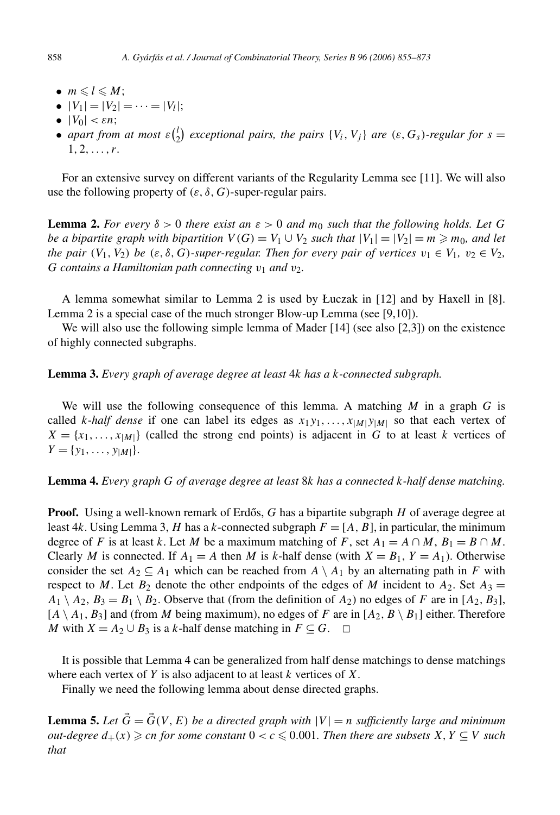- $m \leq l \leq M$ ;
- $|V_1| = |V_2| = \cdots = |V_l|$ ;
- $|V_0| < \varepsilon n$ ;
- *apart from at most*  $\varepsilon$   $\binom{l}{2}$  *exceptional pairs, the pairs*  $\{V_i, V_j\}$  *are*  $(\varepsilon, G_s)$ *-regular for*  $s =$ 1*,* 2*,...,r.*

For an extensive survey on different variants of the Regularity Lemma see [11]. We will also use the following property of  $(\varepsilon, \delta, G)$ -super-regular pairs.

**Lemma 2.** *For every*  $\delta > 0$  *there exist an*  $\varepsilon > 0$  *and*  $m_0$  *such that the following holds. Let G be a bipartite graph with bipartition*  $V(G) = V_1 \cup V_2$  *such that*  $|V_1| = |V_2| = m \ge m_0$ *, and let the pair*  $(V_1, V_2)$  *be*  $(\varepsilon, \delta, G)$ *-super-regular. Then for every pair of vertices*  $v_1 \in V_1$ ,  $v_2 \in V_2$ , *G* contains a Hamiltonian path connecting  $v_1$  and  $v_2$ .

A lemma somewhat similar to Lemma 2 is used by Łuczak in [12] and by Haxell in [8]. Lemma 2 is a special case of the much stronger Blow-up Lemma (see [9,10]).

We will also use the following simple lemma of Mader [14] (see also [2,3]) on the existence of highly connected subgraphs.

## **Lemma 3.** *Every graph of average degree at least* 4*k has a k-connected subgraph.*

We will use the following consequence of this lemma. A matching *M* in a graph *G* is called *k*-*half dense* if one can label its edges as  $x_1y_1, \ldots, x_{|M|}y_{|M|}$  so that each vertex of  $X = \{x_1, \ldots, x_{|M|}\}\$  (called the strong end points) is adjacent in *G* to at least *k* vertices of  $Y = \{y_1, \ldots, y_{|M|}\}.$ 

#### **Lemma 4.** *Every graph G of average degree at least* 8*k has a connected k-half dense matching.*

**Proof.** Using a well-known remark of Erdős, G has a bipartite subgraph H of average degree at least 4*k*. Using Lemma 3, *H* has a *k*-connected subgraph  $F = [A, B]$ , in particular, the minimum degree of *F* is at least *k*. Let *M* be a maximum matching of *F*, set  $A_1 = A \cap M$ ,  $B_1 = B \cap M$ . Clearly *M* is connected. If  $A_1 = A$  then *M* is *k*-half dense (with  $X = B_1$ ,  $Y = A_1$ ). Otherwise consider the set  $A_2 \subseteq A_1$  which can be reached from  $A \setminus A_1$  by an alternating path in *F* with respect to *M*. Let  $B_2$  denote the other endpoints of the edges of *M* incident to  $A_2$ . Set  $A_3 =$  $A_1 \setminus A_2$ ,  $B_3 = B_1 \setminus B_2$ . Observe that (from the definition of  $A_2$ ) no edges of *F* are in [ $A_2$ ,  $B_3$ ],  $[A \setminus A_1, B_3]$  and (from *M* being maximum), no edges of *F* are in  $[A_2, B \setminus B_1]$  either. Therefore *M* with *X* =  $A_2 \cup B_3$  is a *k*-half dense matching in *F* ⊆ *G*. □

It is possible that Lemma 4 can be generalized from half dense matchings to dense matchings where each vertex of *Y* is also adjacent to at least *k* vertices of *X*.

Finally we need the following lemma about dense directed graphs.

**Lemma 5.** Let  $\vec{G} = \vec{G}(V, E)$  be a directed graph with  $|V| = n$  sufficiently large and minimum  $out-degree$   $d_+(x) \geqslant cn$  *for some constant*  $0 < c \leqslant 0.001$ *. Then there are subsets*  $X, Y \subseteq V$  *such that*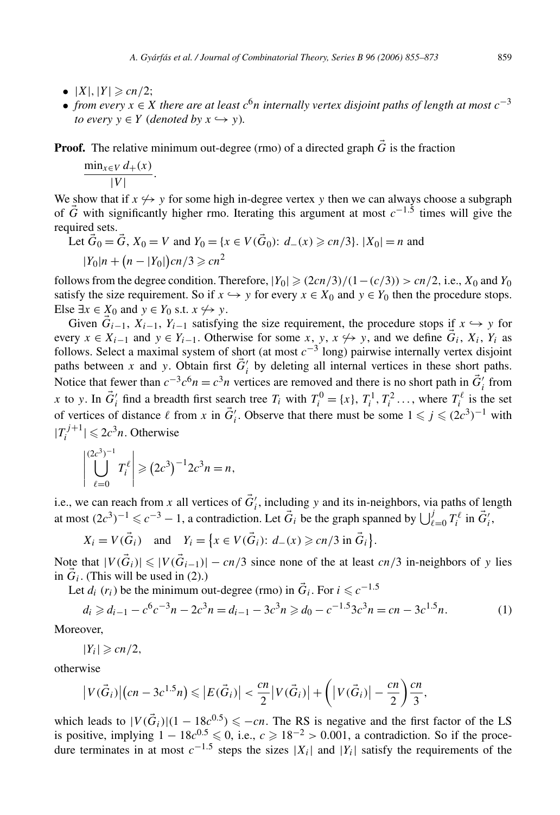- $|X|, |Y| \geqslant cn/2;$
- *from every*  $x \in X$  *there are at least*  $c^6n$  *internally vertex disjoint paths of length at most*  $c^{-3}$ *to every*  $y \in Y$  (*denoted by*  $x \hookrightarrow y$ ).

**Proof.** The relative minimum out-degree (rmo) of a directed graph  $\vec{G}$  is the fraction

$$
\frac{\min_{x \in V} d_+(x)}{|V|}.
$$

We show that if  $x \leftrightarrow y$  for some high in-degree vertex y then we can always choose a subgraph of *G* with significantly higher rmo. Iterating this argument at most *c*−1*.*<sup>5</sup> times will give the required sets.

Let 
$$
\vec{G}_0 = \vec{G}
$$
,  $X_0 = V$  and  $Y_0 = \{x \in V(\vec{G}_0): d_-(x) \ge c_n/3\}$ .  $|X_0| = n$  and  $|Y_0|n + (n - |Y_0|)cn/3 \ge cn^2$ 

follows from the degree condition. Therefore,  $|Y_0| \ge (2cn/3)/(1-(c/3)) > cn/2$ , i.e.,  $X_0$  and  $Y_0$ satisfy the size requirement. So if  $x \hookrightarrow y$  for every  $x \in X_0$  and  $y \in Y_0$  then the procedure stops. Else  $\exists x \in \underline{X}_0$  and  $y \in Y_0$  s.t.  $x \nleftrightarrow y$ .

Given  $\vec{G}_{i-1}$ ,  $X_{i-1}$ ,  $Y_{i-1}$  satisfying the size requirement, the procedure stops if  $x \hookrightarrow y$  for every  $x \in X_{i-1}$  and  $y \in Y_{i-1}$ . Otherwise for some  $x, y, x \nleftrightarrow y$ , and we define  $\vec{G}_i, X_i, Y_i$  as follows. Select a maximal system of short (at most  $c^{-3}$  long) pairwise internally vertex disjoint paths between *x* and *y*. Obtain first  $\vec{G}'_i$  by deleting all internal vertices in these short paths. Notice that fewer than  $c^{-3}c^6n = c^3n$  vertices are removed and there is no short path in  $\vec{G}'_i$  from *x* to *y*. In  $\vec{G}'_i$  find a breadth first search tree  $T_i$  with  $T_i^0 = \{x\}$ ,  $T_i^1$ ,  $T_i^2$ , ..., where  $T_i^{\ell}$  is the set of vertices of distance  $\ell$  from *x* in  $\vec{G}'_i$ . Observe that there must be some  $1 \leq j \leq (2c^3)^{-1}$  with  $|T_i^{j+1}| \le 2c^3n$ . Otherwise

$$
\left|\bigcup_{\ell=0}^{(2c^3)^{-1}} T_i^{\ell}\right| \geq (2c^3)^{-1} 2c^3 n = n,
$$

i.e., we can reach from *x* all vertices of  $\vec{G}'_i$ , including *y* and its in-neighbors, via paths of length at most  $(2c^3)^{-1} \leq c^{-3} - 1$ , a contradiction. Let  $\vec{G}_i$  be the graph spanned by  $\bigcup_{\ell=0}^j T_i^{\ell}$  in  $\vec{G}'_i$ ,

$$
X_i = V(\vec{G}_i) \quad \text{and} \quad Y_i = \left\{ x \in V(\vec{G}_i): d_-(x) \geqslant cn/3 \text{ in } \vec{G}_i \right\}.
$$

Note that  $|V(\vec{G}_i)| \leq |V(\vec{G}_{i-1})| - cn/3$  since none of the at least *cn/*3 in-neighbors of *y* lies in  $\vec{G}_i$ . (This will be used in (2).)

Let  $d_i$  ( $r_i$ ) be the minimum out-degree (rmo) in  $\vec{G}_i$ . For  $i \leq c^{-1.5}$ 

$$
d_i \ge d_{i-1} - c^6 c^{-3} n - 2c^3 n = d_{i-1} - 3c^3 n \ge d_0 - c^{-1.5} 3c^3 n = cn - 3c^{1.5} n. \tag{1}
$$

Moreover,

$$
|Y_i|\geqslant cn/2,
$$

otherwise

$$
\left|V(\vec{G}_i)\right|(cn-3c^{1.5}n) \leqslant \left|E(\vec{G}_i)\right| < \frac{cn}{2}\left|V(\vec{G}_i)\right| + \left(\left|V(\vec{G}_i)\right| - \frac{cn}{2}\right)\frac{cn}{3},
$$

which leads to  $|V(\vec{G}_i)|(1 - 18c^{0.5}) \le -cn$ . The RS is negative and the first factor of the LS is positive, implying  $1 - 18c^{0.5} \le 0$ , i.e.,  $c \ge 18^{-2} > 0.001$ , a contradiction. So if the procedure terminates in at most *c*−1*.*<sup>5</sup> steps the sizes |*Xi*| and |*Yi*| satisfy the requirements of the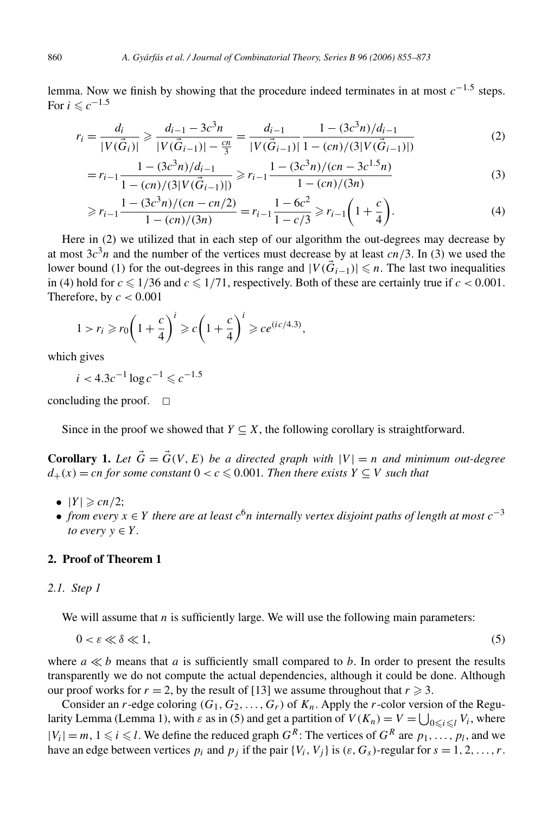lemma. Now we finish by showing that the procedure indeed terminates in at most *c*−1*.*<sup>5</sup> steps. For  $i \leq c^{-1.5}$ 

$$
r_i = \frac{d_i}{|V(\vec{G}_i)|} \ge \frac{d_{i-1} - 3c^3n}{|V(\vec{G}_{i-1})| - \frac{cn}{3}} = \frac{d_{i-1}}{|V(\vec{G}_{i-1})|} \frac{1 - (3c^3n)/d_{i-1}}{1 - (cn)/(3|V(\vec{G}_{i-1})|)}
$$
(2)

$$
=r_{i-1}\frac{1-(3c^3n)/d_{i-1}}{1-(cn)/(3|V(\vec{G}_{i-1})|)} \ge r_{i-1}\frac{1-(3c^3n)/(cn-3c^{1.5}n)}{1-(cn)/(3n)}\tag{3}
$$

$$
\geqslant r_{i-1} \frac{1 - (3c^3 n)/(cn - cn/2)}{1 - (cn)/(3n)} = r_{i-1} \frac{1 - 6c^2}{1 - c/3} \geqslant r_{i-1} \left(1 + \frac{c}{4}\right).
$$
\n<sup>(4)</sup>

Here in (2) we utilized that in each step of our algorithm the out-degrees may decrease by at most  $3c<sup>3</sup>n$  and the number of the vertices must decrease by at least *cn*/3. In (3) we used the lower bound (1) for the out-degrees in this range and  $|V(\vec{G}_{i-1})| \leq n$ . The last two inequalities in (4) hold for  $c \le 1/36$  and  $c \le 1/71$ , respectively. Both of these are certainly true if  $c < 0.001$ . Therefore, by  $c < 0.001$ 

$$
1 > r_i \ge r_0 \left( 1 + \frac{c}{4} \right)^i \ge c \left( 1 + \frac{c}{4} \right)^i \ge ce^{(ic/4.3)},
$$

which gives

$$
i < 4.3c^{-1} \log c^{-1} \leqslant c^{-1.5}
$$

concluding the proof.  $\Box$ 

Since in the proof we showed that  $Y \subseteq X$ , the following corollary is straightforward.

**Corollary 1.** Let  $\vec{G} = \vec{G}(V, E)$  be a directed graph with  $|V| = n$  and minimum out-degree  $d_{+}(x) = c n$  *for some constant*  $0 < c \leq 0.001$ *. Then there exists*  $Y \subseteq V$  *such that* 

- $|Y| \geqslant cn/2;$
- *from every*  $x \in Y$  *there are at least*  $c^{6}n$  *internally vertex disjoint paths of length at most*  $c^{-3}$ *to every*  $y \in Y$ *.*

# **2. Proof of Theorem 1**

## *2.1. Step 1*

We will assume that *n* is sufficiently large. We will use the following main parameters:

$$
0 < \varepsilon \ll \delta \ll 1,\tag{5}
$$

where  $a \ll b$  means that *a* is sufficiently small compared to *b*. In order to present the results transparently we do not compute the actual dependencies, although it could be done. Although our proof works for  $r = 2$ , by the result of [13] we assume throughout that  $r \ge 3$ .

Consider an *r*-edge coloring  $(G_1, G_2, \ldots, G_r)$  of  $K_n$ . Apply the *r*-color version of the Regularity Lemma (Lemma 1), with  $\varepsilon$  as in (5) and get a partition of  $V(K_n) = V = \bigcup_{0 \le i \le l} V_i$ , where  $|V_i| = m, 1 \le i \le l$ . We define the reduced graph  $G^R$ : The vertices of  $G^R$  are  $p_1, \ldots, p_l$ , and we have an edge between vertices  $p_i$  and  $p_j$  if the pair  $\{V_i, V_j\}$  is  $(\varepsilon, G_s)$ -regular for  $s = 1, 2, ..., r$ .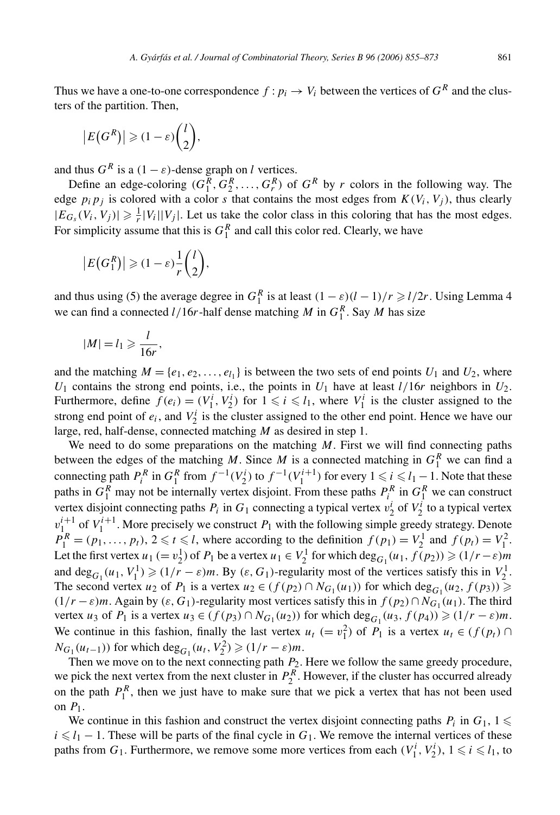Thus we have a one-to-one correspondence  $f : p_i \to V_i$  between the vertices of  $G^R$  and the clusters of the partition. Then,

$$
\left|E\big(G^R\big)\right|\geqslant(1-\varepsilon)\binom{l}{2},
$$

and thus  $G^R$  is a  $(1 - \varepsilon)$ -dense graph on *l* vertices.

Define an edge-coloring  $(G_1^R, G_2^R, \ldots, G_r^R)$  of  $G^R$  by *r* colors in the following way. The edge  $p_i p_j$  is colored with a color *s* that contains the most edges from  $K(V_i, V_j)$ , thus clearly  $|E_{G_s}(V_i, V_j)| \geq \frac{1}{r}|V_i||V_j|$ . Let us take the color class in this coloring that has the most edges. For simplicity assume that this is  $G_1^R$  and call this color red. Clearly, we have

$$
\left|E\big(G_1^R\big)\right| \geqslant (1-\varepsilon)\frac{1}{r}\binom{l}{2},
$$

and thus using (5) the average degree in  $G_1^R$  is at least  $(1 - \varepsilon)(l - 1)/r \ge l/2r$ . Using Lemma 4 we can find a connected  $l/16r$ -half dense matching *M* in  $G_1^R$ . Say *M* has size

$$
|M|=l_1\geqslant \frac{l}{16r},
$$

and the matching  $M = \{e_1, e_2, \dots, e_{l_1}\}\$ is between the two sets of end points  $U_1$  and  $U_2$ , where  $U_1$  contains the strong end points, i.e., the points in  $U_1$  have at least  $l/16r$  neighbors in  $U_2$ . Furthermore, define  $f(e_i) = (V_1^i, V_2^i)$  for  $1 \leq i \leq l_1$ , where  $V_1^i$  is the cluster assigned to the strong end point of  $e_i$ , and  $V_2^i$  is the cluster assigned to the other end point. Hence we have our large, red, half-dense, connected matching *M* as desired in step 1.

We need to do some preparations on the matching *M*. First we will find connecting paths between the edges of the matching *M*. Since *M* is a connected matching in  $G_1^R$  we can find a connecting path  $P_i^R$  in  $G_1^R$  from  $f^{-1}(V_2^i)$  to  $f^{-1}(V_1^{i+1})$  for every  $1 \le i \le l_1 - 1$ . Note that these paths in  $G_1^R$  may not be internally vertex disjoint. From these paths  $P_i^R$  in  $G_1^R$  we can construct vertex disjoint connecting paths  $P_i$  in  $G_1$  connecting a typical vertex  $v_2^i$  of  $V_2^i$  to a typical vertex  $v_1^{i+1}$  of  $V_1^{i+1}$ . More precisely we construct  $P_1$  with the following simple greedy strategy. Denote  $P_1^R = (p_1, \ldots, p_t), 2 \le t \le l$ , where according to the definition  $f(p_1) = V_2^1$  and  $f(p_t) = V_1^2$ . Let the first vertex  $u_1 (= v_2^1)$  of  $P_1$  be a vertex  $u_1 \in V_2^1$  for which  $deg_{G_1}(u_1, f(p_2)) \geq (1/r - \varepsilon)m$ and  $\deg_{G_1}(u_1, V_1^1) \geq (1/r - \varepsilon)m$ . By  $(\varepsilon, G_1)$ -regularity most of the vertices satisfy this in  $V_2^1$ . The second vertex *u*<sub>2</sub> of *P*<sub>1</sub> is a vertex  $u_2 \in (f(p_2) \cap N_{G_1}(u_1))$  for which  $\deg_{G_1}(u_2, f(p_3)) \ge$  $(1/r - \varepsilon)m$ . Again by  $(\varepsilon, G_1)$ -regularity most vertices satisfy this in  $f(p_2) \cap N_{G_1}(u_1)$ . The third vertex *u*<sub>3</sub> of *P*<sub>1</sub> is a vertex  $u_3 \in (f(p_3) \cap N_{G_1}(u_2))$  for which  $\deg_{G_1}(u_3, f(p_4)) \geq (1/r - \varepsilon)m$ . We continue in this fashion, finally the last vertex  $u_t$  (=  $v_1^2$ ) of  $P_1$  is a vertex  $u_t \in (f(p_t) \cap$  $N_{G_1}(u_{t-1})$ ) for which deg<sub>*G*1</sub></sub> $(u_t, V_2^2)$  ≥  $(1/r − ε)m$ .

Then we move on to the next connecting path  $P_2$ . Here we follow the same greedy procedure, we pick the next vertex from the next cluster in  $P_2^R$ . However, if the cluster has occurred already on the path  $P_1^R$ , then we just have to make sure that we pick a vertex that has not been used on *P*1.

We continue in this fashion and construct the vertex disjoint connecting paths  $P_i$  in  $G_1$ ,  $1 \leq$  $i \le l_1 - 1$ . These will be parts of the final cycle in  $G_1$ . We remove the internal vertices of these paths from  $G_1$ . Furthermore, we remove some more vertices from each  $(V_1^i, V_2^i)$ ,  $1 \le i \le l_1$ , to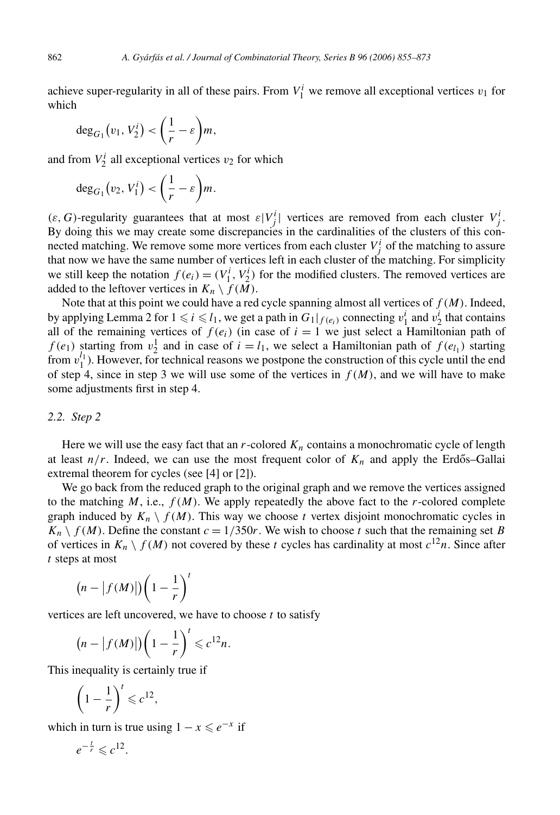achieve super-regularity in all of these pairs. From  $V_1^i$  we remove all exceptional vertices  $v_1$  for which

$$
\deg_{G_1}(v_1, V_2^i) < \left(\frac{1}{r} - \varepsilon\right)m,
$$

and from  $V_2^i$  all exceptional vertices  $v_2$  for which

$$
\deg_{G_1}(v_2, V_1^i) < \left(\frac{1}{r} - \varepsilon\right)m.
$$

 $(\varepsilon, G)$ -regularity guarantees that at most  $\varepsilon|V_j^i|$  vertices are removed from each cluster  $V_j^i$ . By doing this we may create some discrepancies in the cardinalities of the clusters of this connected matching. We remove some more vertices from each cluster  $V_j^i$  of the matching to assure that now we have the same number of vertices left in each cluster of the matching. For simplicity we still keep the notation  $f(e_i) = (V_1^i, V_2^i)$  for the modified clusters. The removed vertices are added to the leftover vertices in  $K_n \setminus f(M)$ .

Note that at this point we could have a red cycle spanning almost all vertices of *f (M)*. Indeed, by applying Lemma 2 for  $1 \le i \le l_1$ , we get a path in  $G_1|_{f(e_i)}$  connecting  $v_1^i$  and  $v_2^i$  that contains all of the remaining vertices of  $f(e_i)$  (in case of  $i = 1$  we just select a Hamiltonian path of  $f(e_1)$  starting from  $v_2^1$  and in case of  $i = l_1$ , we select a Hamiltonian path of  $f(e_{l_1})$  starting from  $v_1^{l_1}$ ). However, for technical reasons we postpone the construction of this cycle until the end of step 4, since in step 3 we will use some of the vertices in  $f(M)$ , and we will have to make some adjustments first in step 4.

#### *2.2. Step 2*

Here we will use the easy fact that an  $r$ -colored  $K_n$  contains a monochromatic cycle of length at least  $n/r$ . Indeed, we can use the most frequent color of  $K_n$  and apply the Erdős–Gallai extremal theorem for cycles (see [4] or [2]).

We go back from the reduced graph to the original graph and we remove the vertices assigned to the matching  $M$ , i.e.,  $f(M)$ . We apply repeatedly the above fact to the  $r$ -colored complete graph induced by  $K_n \setminus f(M)$ . This way we choose *t* vertex disjoint monochromatic cycles in  $K_n \setminus f(M)$ . Define the constant  $c = 1/350r$ . We wish to choose *t* such that the remaining set *B* of vertices in  $K_n \setminus f(M)$  not covered by these *t* cycles has cardinality at most  $c^{12}n$ . Since after *t* steps at most

$$
(n - |f(M)|) \bigg(1 - \frac{1}{r}\bigg)^t
$$

vertices are left uncovered, we have to choose *t* to satisfy

$$
(n - |f(M)|) \left(1 - \frac{1}{r}\right)^t \leq c^{12}n.
$$

This inequality is certainly true if

$$
\left(1-\frac{1}{r}\right)^t \leqslant c^{12},
$$

which in turn is true using  $1 - x \le e^{-x}$  if

$$
e^{-\frac{t}{r}} \leqslant c^{12}.
$$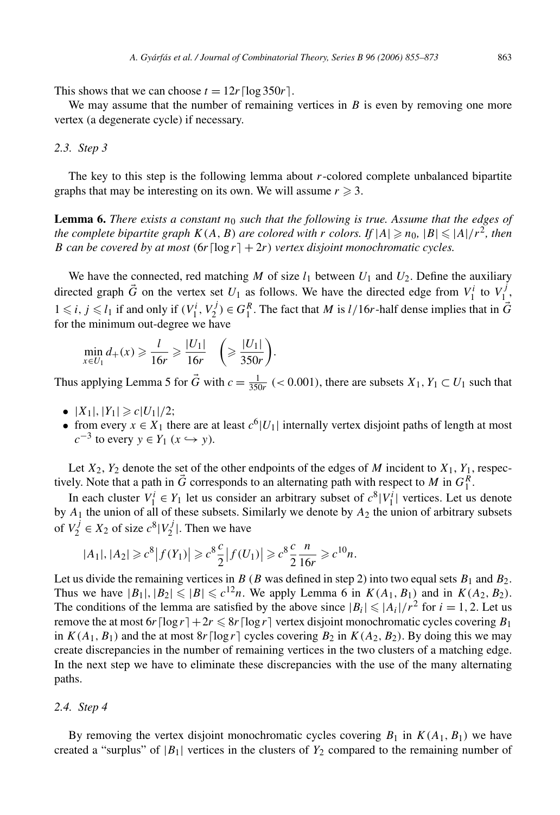This shows that we can choose  $t = 12r \lfloor \log 350r \rfloor$ .

We may assume that the number of remaining vertices in *B* is even by removing one more vertex (a degenerate cycle) if necessary.

#### *2.3. Step 3*

The key to this step is the following lemma about *r*-colored complete unbalanced bipartite graphs that may be interesting on its own. We will assume  $r \geq 3$ .

**Lemma 6.** *There exists a constant n*<sup>0</sup> *such that the following is true. Assume that the edges of the complete bipartite graph*  $K(A, B)$  *are colored with*  $r$  *colors.* If  $|A| \ge n_0$ ,  $|B| \le |A|/r^2$ , then *B* can be covered by at most  $(6r \log r) + 2r$ ) vertex disjoint monochromatic cycles.

We have the connected, red matching *M* of size  $l_1$  between  $U_1$  and  $U_2$ . Define the auxiliary directed graph  $\vec{G}$  on the vertex set  $U_1$  as follows. We have the directed edge from  $V_1^i$  to  $V_1^j$ ,  $1 \le i, j \le l_1$  if and only if  $(V_1^i, V_2^j) \in G_1^R$ . The fact that *M* is *l/*16*r*-half dense implies that in  $\vec{G}$ for the minimum out-degree we have

$$
\min_{x \in U_1} d_+(x) \geqslant \frac{l}{16r} \geqslant \frac{|U_1|}{16r} \quad \bigg(\geqslant \frac{|U_1|}{350r}\bigg).
$$

Thus applying Lemma 5 for  $\vec{G}$  with  $c = \frac{1}{350r}$  (< 0.001), there are subsets  $X_1, Y_1 \subset U_1$  such that

- $|X_1|, |Y_1| \ge c|U_1|/2;$
- from every  $x \in X_1$  there are at least  $c^6|U_1|$  internally vertex disjoint paths of length at most *c*<sup>−3</sup> to every  $y \in Y_1$  ( $x$  →  $y$ ).

Let  $X_2$ ,  $Y_2$  denote the set of the other endpoints of the edges of *M* incident to  $X_1$ ,  $Y_1$ , respectively. Note that a path in  $\vec{G}$  corresponds to an alternating path with respect to *M* in  $G_1^R$ .

In each cluster  $V_1^i \in Y_1$  let us consider an arbitrary subset of  $c^8|V_1^i|$  vertices. Let us denote by *A*<sup>1</sup> the union of all of these subsets. Similarly we denote by *A*<sup>2</sup> the union of arbitrary subsets of  $V_2^j \in X_2$  of size  $c^8 | V_2^j |$ . Then we have

$$
|A_1|, |A_2| \ge c^8 |f(Y_1)| \ge c^8 \frac{c}{2} |f(U_1)| \ge c^8 \frac{c}{2} \frac{n}{16r} \ge c^{10} n.
$$

Let us divide the remaining vertices in  $B(B \text{ was defined in step 2})$  into two equal sets  $B_1$  and  $B_2$ . Thus we have  $|B_1|, |B_2| \leq 1B| \leq c^{12}n$ . We apply Lemma 6 in  $K(A_1, B_1)$  and in  $K(A_2, B_2)$ . The conditions of the lemma are satisfied by the above since  $|B_i| \leq |A_i|/r^2$  for  $i = 1, 2$ . Let us remove the at most  $6r \lceil \log r \rceil + 2r \leq 8r \lceil \log r \rceil$  vertex disjoint monochromatic cycles covering  $B_1$ in  $K(A_1, B_1)$  and the at most  $8r \lceil \log r \rceil$  cycles covering  $B_2$  in  $K(A_2, B_2)$ . By doing this we may create discrepancies in the number of remaining vertices in the two clusters of a matching edge. In the next step we have to eliminate these discrepancies with the use of the many alternating paths.

#### *2.4. Step 4*

By removing the vertex disjoint monochromatic cycles covering  $B_1$  in  $K(A_1, B_1)$  we have created a "surplus" of  $|B_1|$  vertices in the clusters of  $Y_2$  compared to the remaining number of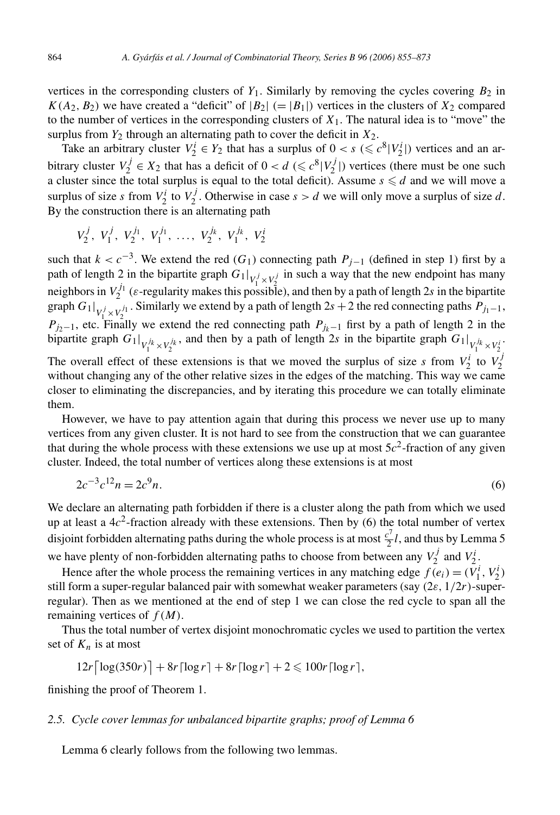vertices in the corresponding clusters of  $Y_1$ . Similarly by removing the cycles covering  $B_2$  in  $K(A_2, B_2)$  we have created a "deficit" of  $|B_2| (= |B_1|)$  vertices in the clusters of  $X_2$  compared to the number of vertices in the corresponding clusters of  $X_1$ . The natural idea is to "move" the surplus from  $Y_2$  through an alternating path to cover the deficit in  $X_2$ .

Take an arbitrary cluster  $V_2^i \in Y_2$  that has a surplus of  $0 < s \leq c^8 |V_2^i|$  vertices and an arbitrary cluster  $V_2^j \in X_2$  that has a deficit of  $0 < d \leq c^8 |V_2^j|$  vertices (there must be one such a cluster since the total surplus is equal to the total deficit). Assume  $s \le d$  and we will move a surplus of size *s* from  $V_2^i$  to  $V_2^j$ . Otherwise in case  $s > d$  we will only move a surplus of size *d*. By the construction there is an alternating path

$$
V_2^j, V_1^j, V_2^{j_1}, V_1^{j_1}, \ldots, V_2^{j_k}, V_1^{j_k}, V_2^{i_k}
$$

such that  $k < c^{-3}$ . We extend the red (*G*<sub>1</sub>) connecting path  $P_{j-1}$  (defined in step 1) first by a path of length 2 in the bipartite graph  $G_1|_{V_1^j \times V_2^j}$  in such a way that the new endpoint has many neighbors in  $V_2^{j_1}$  ( $\varepsilon$ -regularity makes this possible), and then by a path of length 2*s* in the bipartite graph  $G_1|_{V_1^j \times V_2^{j_1}}$ . Similarly we extend by a path of length 2*s* + 2 the red connecting paths  $P_{j_1-1}$ ,  $P_{j_2-1}$ , etc. Finally we extend the red connecting path  $P_{j_k-1}$  first by a path of length 2 in the bipartite graph  $G_1|_{V_1^{j_k} \times V_2^{j_k}}$ , and then by a path of length 2*s* in the bipartite graph  $G_1|_{V_1^{j_k} \times V_2^{j_k}}$ . The overall effect of these extensions is that we moved the surplus of size *s* from  $V_2^i$  to  $V_2^j$ without changing any of the other relative sizes in the edges of the matching. This way we came closer to eliminating the discrepancies, and by iterating this procedure we can totally eliminate them.

However, we have to pay attention again that during this process we never use up to many vertices from any given cluster. It is not hard to see from the construction that we can guarantee that during the whole process with these extensions we use up at most  $5c<sup>2</sup>$ -fraction of any given cluster. Indeed, the total number of vertices along these extensions is at most

$$
2c^{-3}c^{12}n = 2c^9n.\tag{6}
$$

We declare an alternating path forbidden if there is a cluster along the path from which we used up at least a  $4c^2$ -fraction already with these extensions. Then by (6) the total number of vertex disjoint forbidden alternating paths during the whole process is at most  $\frac{c^7}{2}l$ , and thus by Lemma 5 we have plenty of non-forbidden alternating paths to choose from between any  $V_2^j$  and  $V_2^i$ .

Hence after the whole process the remaining vertices in any matching edge  $f(e_i) = (V_1^i, V_2^i)$ still form a super-regular balanced pair with somewhat weaker parameters (say *(*2*ε,* 1*/*2*r)*-superregular). Then as we mentioned at the end of step 1 we can close the red cycle to span all the remaining vertices of *f (M)*.

Thus the total number of vertex disjoint monochromatic cycles we used to partition the vertex set of  $K_n$  is at most

$$
12r\left\lceil \log(350r) \right\rceil + 8r\left\lceil \log r \right\rceil + 8r\left\lceil \log r \right\rceil + 2 \leq 100r\left\lceil \log r \right\rceil,
$$

finishing the proof of Theorem 1.

## *2.5. Cycle cover lemmas for unbalanced bipartite graphs; proof of Lemma 6*

Lemma 6 clearly follows from the following two lemmas.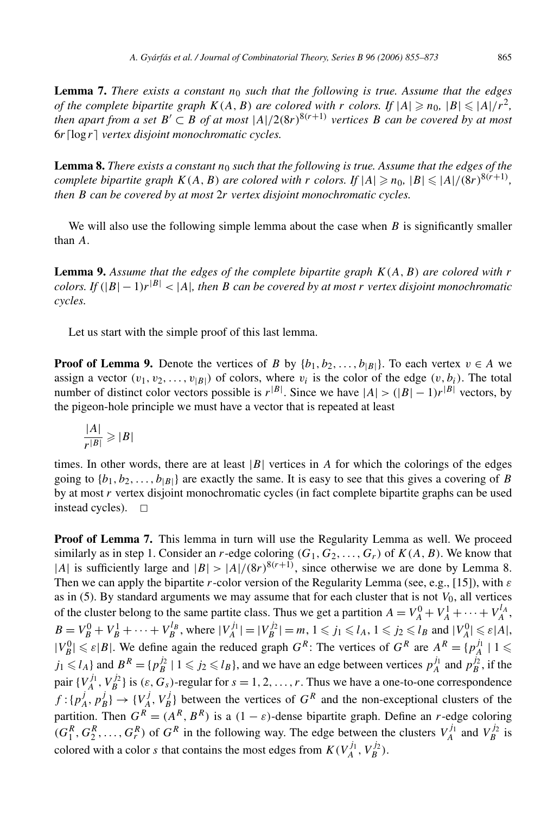**Lemma 7.** *There exists a constant n*<sup>0</sup> *such that the following is true. Assume that the edges of the complete bipartite graph*  $K(A, B)$  *are colored with*  $r$  *colors. If*  $|A| \ge n_0$ ,  $|B| \le |A|/r^2$ , *then apart from a set*  $B' \subset B$  *of at most*  $|A|/2(8r)^{8(r+1)}$  *vertices*  $B$  *can be covered by at most* 6*r*log *r vertex disjoint monochromatic cycles.*

**Lemma 8.** There exists a constant  $n_0$  such that the following is true. Assume that the edges of the *complete bipartite graph*  $K(A, B)$  *are colored with*  $r$  *colors. If*  $|A| \ge n_0$ ,  $|B| \le |A|/(8r)^{8(r+1)}$ , *then B can be covered by at most* 2*r vertex disjoint monochromatic cycles.*

We will also use the following simple lemma about the case when *B* is significantly smaller than *A*.

**Lemma 9.** *Assume that the edges of the complete bipartite graph K(A, B) are colored with r colors. If*  $(|B| - 1)r^{|B|} < |A|$ *, then B can be covered by at most r vertex disjoint monochromatic cycles.*

Let us start with the simple proof of this last lemma.

**Proof of Lemma 9.** Denote the vertices of *B* by  $\{b_1, b_2, \ldots, b_{|B|}\}\$ . To each vertex  $v \in A$  we assign a vector  $(v_1, v_2, \ldots, v_{|B|})$  of colors, where  $v_i$  is the color of the edge  $(v, b_i)$ . The total number of distinct color vectors possible is  $r^{|B|}$ . Since we have  $|A| > (|B| - 1)r^{|B|}$  vectors, by the pigeon-hole principle we must have a vector that is repeated at least

$$
\frac{|A|}{r^{|B|}}\geqslant |B|
$$

times. In other words, there are at least  $|B|$  vertices in *A* for which the colorings of the edges going to  $\{b_1, b_2, \ldots, b_{|B|}\}$  are exactly the same. It is easy to see that this gives a covering of *B* by at most *r* vertex disjoint monochromatic cycles (in fact complete bipartite graphs can be used instead cycles).  $\Box$ 

**Proof of Lemma 7.** This lemma in turn will use the Regularity Lemma as well. We proceed similarly as in step 1. Consider an *r*-edge coloring  $(G_1, G_2, \ldots, G_r)$  of  $K(A, B)$ . We know that |*A*| is sufficiently large and  $|B| > |A|/(8r)^{8(r+1)}$ , since otherwise we are done by Lemma 8. Then we can apply the bipartite *r*-color version of the Regularity Lemma (see, e.g., [15]), with *ε* as in (5). By standard arguments we may assume that for each cluster that is not  $V_0$ , all vertices of the cluster belong to the same partite class. Thus we get a partition  $A = V_A^0 + V_A^1 + \cdots + V_A^{l_A}$ ,  $B = V_B^0 + V_B^1 + \cdots + V_B^{l_B}$ , where  $|V_A^{j_1}| = |V_B^{j_2}| = m$ ,  $1 \le j_1 \le l_A$ ,  $1 \le j_2 \le l_B$  and  $|V_A^0| \le \varepsilon |A|$ ,  $|V_B^0| \le \varepsilon |B|$ . We define again the reduced graph  $G^R$ : The vertices of  $G^R$  are  $A^R = \{p_A^{j_1} \mid 1 \le$  $j_1 \le l_A$  and  $B^R = \{p_B^{j_2} \mid 1 \le j_2 \le l_B\}$ , and we have an edge between vertices  $p_A^{j_1}$  and  $p_B^{j_2}$ , if the pair  $\{V_A^{j_1}, V_B^{j_2}\}\$ is  $(\varepsilon, G_s)$ -regular for  $s = 1, 2, ..., r$ . Thus we have a one-to-one correspondence  $f: \{p_A^j, p_B^j\} \rightarrow \{V_A^j, V_B^j\}$  between the vertices of  $G^R$  and the non-exceptional clusters of the partition. Then  $G^R = (A^R, B^R)$  is a  $(1 - \varepsilon)$ -dense bipartite graph. Define an *r*-edge coloring  $(G_1^R, G_2^R, \ldots, G_r^R)$  of  $G^R$  in the following way. The edge between the clusters  $V_A^{j_1}$  and  $V_B^{j_2}$  is colored with a color *s* that contains the most edges from  $K(V_A^{j_1}, V_B^{j_2})$ .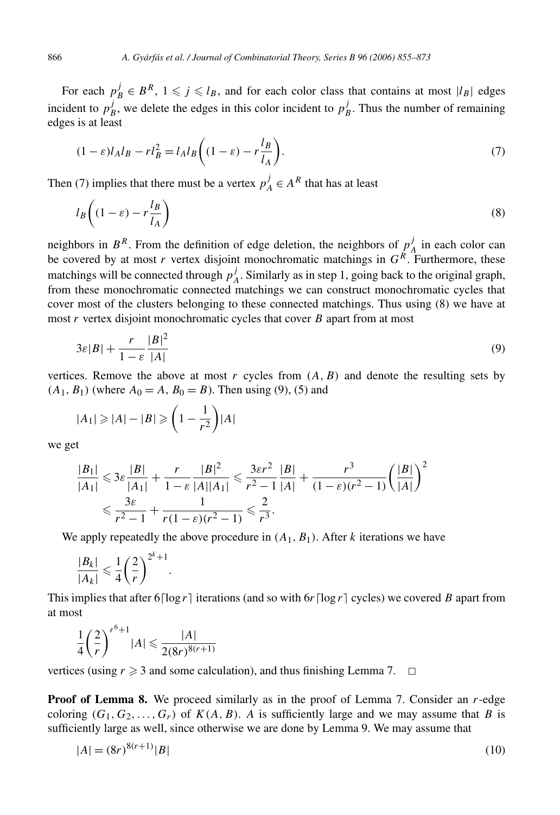For each  $p_B^j \in B^R$ ,  $1 \leq j \leq l_B$ , and for each color class that contains at most  $|l_B|$  edges incident to  $p_B^j$ , we delete the edges in this color incident to  $p_B^j$ . Thus the number of remaining edges is at least

$$
(1 - \varepsilon)l_A l_B - r l_B^2 = l_A l_B \left( (1 - \varepsilon) - r \frac{l_B}{l_A} \right).
$$
\n<sup>(7)</sup>

Then (7) implies that there must be a vertex  $p_A^j \in A^R$  that has at least

$$
l_B\left((1-\varepsilon)-r\frac{l_B}{l_A}\right) \tag{8}
$$

neighbors in  $B^R$ . From the definition of edge deletion, the neighbors of  $p^j_A$  in each color can be covered by at most *r* vertex disjoint monochromatic matchings in *GR*. Furthermore, these matchings will be connected through  $p_A^j$ . Similarly as in step 1, going back to the original graph, from these monochromatic connected matchings we can construct monochromatic cycles that cover most of the clusters belonging to these connected matchings. Thus using (8) we have at most *r* vertex disjoint monochromatic cycles that cover *B* apart from at most

$$
3\varepsilon|B| + \frac{r}{1-\varepsilon}\frac{|B|^2}{|A|}\tag{9}
$$

vertices. Remove the above at most  $r$  cycles from  $(A, B)$  and denote the resulting sets by  $(A_1, B_1)$  (where  $A_0 = A$ ,  $B_0 = B$ ). Then using (9), (5) and

$$
|A_1| \geqslant |A| - |B| \geqslant \left(1 - \frac{1}{r^2}\right)|A|
$$

we get

$$
\frac{|B_1|}{|A_1|} \leq 3\varepsilon \frac{|B|}{|A_1|} + \frac{r}{1-\varepsilon} \frac{|B|^2}{|A||A_1|} \leq \frac{3\varepsilon r^2}{r^2 - 1} \frac{|B|}{|A|} + \frac{r^3}{(1-\varepsilon)(r^2 - 1)} \left(\frac{|B|}{|A|}\right)^2
$$
  

$$
\leq \frac{3\varepsilon}{r^2 - 1} + \frac{1}{r(1-\varepsilon)(r^2 - 1)} \leq \frac{2}{r^3}.
$$

We apply repeatedly the above procedure in  $(A_1, B_1)$ . After *k* iterations we have

$$
\frac{|B_k|}{|A_k|} \leqslant \frac{1}{4} \left(\frac{2}{r}\right)^{2^k+1}.
$$

This implies that after  $6\lceil \log r \rceil$  iterations (and so with  $6r \lceil \log r \rceil$  cycles) we covered *B* apart from at most

$$
\frac{1}{4} \left(\frac{2}{r}\right)^{r^6+1} |A| \leqslant \frac{|A|}{2(8r)^{8(r+1)}}
$$

vertices (using  $r \geq 3$  and some calculation), and thus finishing Lemma 7.  $\Box$ 

**Proof of Lemma 8.** We proceed similarly as in the proof of Lemma 7. Consider an r-edge coloring  $(G_1, G_2, \ldots, G_r)$  of  $K(A, B)$ . A is sufficiently large and we may assume that *B* is sufficiently large as well, since otherwise we are done by Lemma 9. We may assume that

$$
|A| = (8r)^{8(r+1)}|B|
$$
\n(10)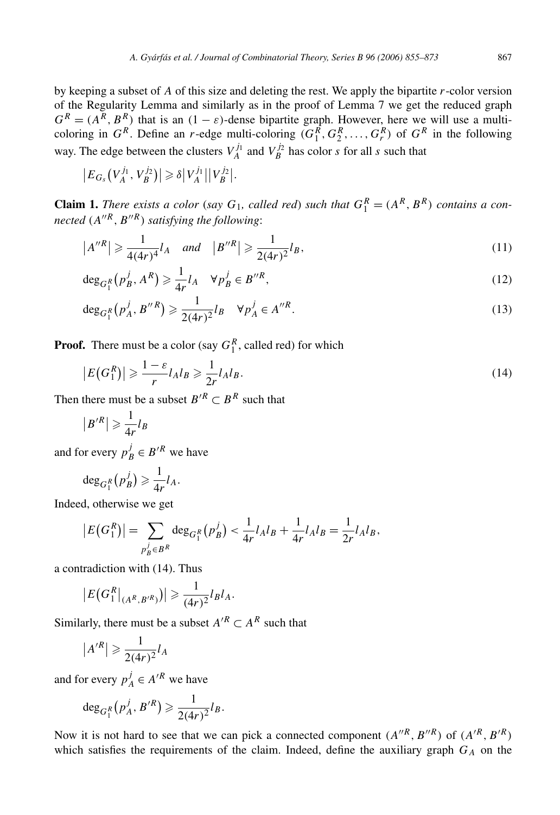by keeping a subset of *A* of this size and deleting the rest. We apply the bipartite *r*-color version of the Regularity Lemma and similarly as in the proof of Lemma 7 we get the reduced graph  $G^R = (A^R, B^R)$  that is an  $(1 - \varepsilon)$ -dense bipartite graph. However, here we will use a multicoloring in  $G^R$ . Define an *r*-edge multi-coloring  $(G_1^R, G_2^R, \ldots, G_r^R)$  of  $G^R$  in the following way. The edge between the clusters  $V_A^{j_1}$  and  $V_B^{j_2}$  has color *s* for all *s* such that

$$
|E_{G_s}(V_A^{j_1}, V_B^{j_2})| \geq \delta |V_A^{j_1}| |V_B^{j_2}|.
$$

**Claim 1.** *There exists a color* (*say*  $G_1$ *, called red*) *such that*  $G_1^R = (A^R, B^R)$  *contains a connected*  $(A''^R, B''^R)$  *satisfying the following:* 

$$
|A''^R| \ge \frac{1}{4(4r)^4} l_A
$$
 and  $|B''^R| \ge \frac{1}{2(4r)^2} l_B$ , (11)

$$
\deg_{G_1^R}(p_B^j, A^R) \geq \frac{1}{4r}l_A \quad \forall p_B^j \in B''^R,
$$
\n<sup>(12)</sup>

$$
\deg_{G_1^R}(p_A^j, B''^R) \geq \frac{1}{2(4r)^2} l_B \quad \forall p_A^j \in A''^R.
$$
\n(13)

**Proof.** There must be a color (say  $G_1^R$ , called red) for which

$$
|E(G_1^R)| \geqslant \frac{1-\varepsilon}{r} l_A l_B \geqslant \frac{1}{2r} l_A l_B. \tag{14}
$$

Then there must be a subset  $B^{\prime R} \subset B^R$  such that

$$
|B'^R| \geqslant \frac{1}{4r}l_B
$$

and for every  $p_B^j \in B'^R$  we have

$$
\deg_{G_1^R}(p_B^j) \geq \frac{1}{4r}l_A.
$$

Indeed, otherwise we get

$$
|E(G_1^R)| = \sum_{p_B^j \in B^R} \deg_{G_1^R}(p_B^j) < \frac{1}{4r} l_A l_B + \frac{1}{4r} l_A l_B = \frac{1}{2r} l_A l_B,
$$

a contradiction with (14). Thus

$$
|E(G_1^R|_{(A^R, B'^R)})| \geq \frac{1}{(4r)^2}l_Bl_A.
$$

Similarly, there must be a subset  $A^{\prime R} \subset A^R$  such that

$$
|A^{\prime R}| \geqslant \frac{1}{2(4r)^2} l_A
$$

and for every  $p_A^j \in A'^R$  we have

$$
\deg_{G_1^R}(p_A^j, B'^R) \geq \frac{1}{2(4r)^2} l_B.
$$

Now it is not hard to see that we can pick a connected component  $(A''^R, B''^R)$  of  $(A'^R, B'^R)$ which satisfies the requirements of the claim. Indeed, define the auxiliary graph  $G_A$  on the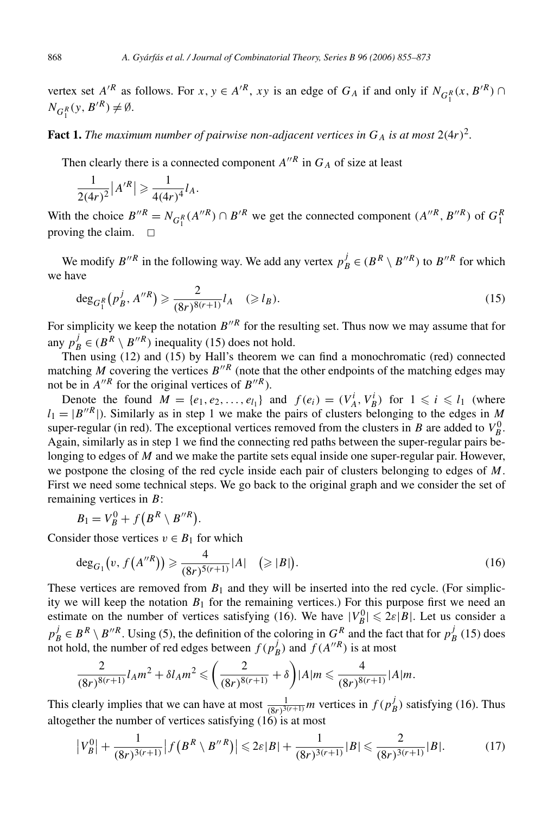vertex set  $A'^R$  as follows. For  $x, y \in A'^R$ ,  $xy$  is an edge of  $G_A$  if and only if  $N_{G_1^R}(x, B'^R) \cap$  $N_{G_1^R}(y, B'^R) \neq \emptyset.$ 

**Fact 1.** *The maximum number of pairwise non-adjacent vertices in*  $G_A$  *is at most*  $2(4r)^2$ *.* 

Then clearly there is a connected component  $A''^R$  in  $G_A$  of size at least

$$
\frac{1}{2(4r)^2} |A^{\prime R}| \geq \frac{1}{4(4r)^4} l_A.
$$

With the choice  $B''^R = N_{G_1^R}(A''^R) \cap B'^R$  we get the connected component  $(A''^R, B''^R)$  of  $G_1^R$ proving the claim.  $\Box$ 

We modify  $B''^R$  in the following way. We add any vertex  $p_B^j \in (B^R \setminus B''^R)$  to  $B''^R$  for which we have

$$
\deg_{G_1^R}(p_B^j, A''^R) \geqslant \frac{2}{(8r)^{8(r+1)}} l_A \quad (\geqslant l_B). \tag{15}
$$

For simplicity we keep the notation  $B''^R$  for the resulting set. Thus now we may assume that for any  $p_B^j \in (B^R \setminus B''^R)$  inequality (15) does not hold.

Then using (12) and (15) by Hall's theorem we can find a monochromatic (red) connected matching *M* covering the vertices  $B^{\prime\prime R}$  (note that the other endpoints of the matching edges may not be in  $A''^R$  for the original vertices of  $B''^R$ ).

Denote the found  $M = \{e_1, e_2, \ldots, e_{l_1}\}\$ and  $f(e_i) = (V_A^i, V_B^i)$  for  $1 \leq i \leq l_1$  (where  $l_1 = |B''^R|$ ). Similarly as in step 1 we make the pairs of clusters belonging to the edges in *M* super-regular (in red). The exceptional vertices removed from the clusters in *B* are added to  $V_B^0$ . Again, similarly as in step 1 we find the connecting red paths between the super-regular pairs belonging to edges of *M* and we make the partite sets equal inside one super-regular pair. However, we postpone the closing of the red cycle inside each pair of clusters belonging to edges of *M*. First we need some technical steps. We go back to the original graph and we consider the set of remaining vertices in *B*:

$$
B_1 = V_B^0 + f(B^R \setminus B''^R).
$$

Consider those vertices  $v \in B_1$  for which

$$
\deg_{G_1}(v, f(A''^R)) \geqslant \frac{4}{(8r)^{5(r+1)}}|A| \quad (\geqslant |B|). \tag{16}
$$

These vertices are removed from  $B_1$  and they will be inserted into the red cycle. (For simplicity we will keep the notation  $B_1$  for the remaining vertices.) For this purpose first we need an estimate on the number of vertices satisfying (16). We have  $|V_B^0| \leq 2\varepsilon|B|$ . Let us consider a  $p_B^j \in B^R \setminus B''^R$ . Using (5), the definition of the coloring in  $G^R$  and the fact that for  $p_B^j$  (15) does not hold, the number of red edges between  $f(p_B^j)$  and  $f(A''^R)$  is at most

$$
\frac{2}{(8r)^{8(r+1)}}l_A m^2 + \delta l_A m^2 \leqslant \left(\frac{2}{(8r)^{8(r+1)}} + \delta\right) |A| m \leqslant \frac{4}{(8r)^{8(r+1)}} |A| m.
$$

This clearly implies that we can have at most  $\frac{1}{(8r)^{3(r+1)}}m$  vertices in  $f(p_B^j)$  satisfying (16). Thus altogether the number of vertices satisfying  $(16)$  is at most

$$
\left|V_B^0\right| + \frac{1}{(8r)^{3(r+1)}} \left| f\left(B^R \setminus B''^R\right) \right| \leq 2\varepsilon|B| + \frac{1}{(8r)^{3(r+1)}}|B| \leq \frac{2}{(8r)^{3(r+1)}}|B|.
$$
 (17)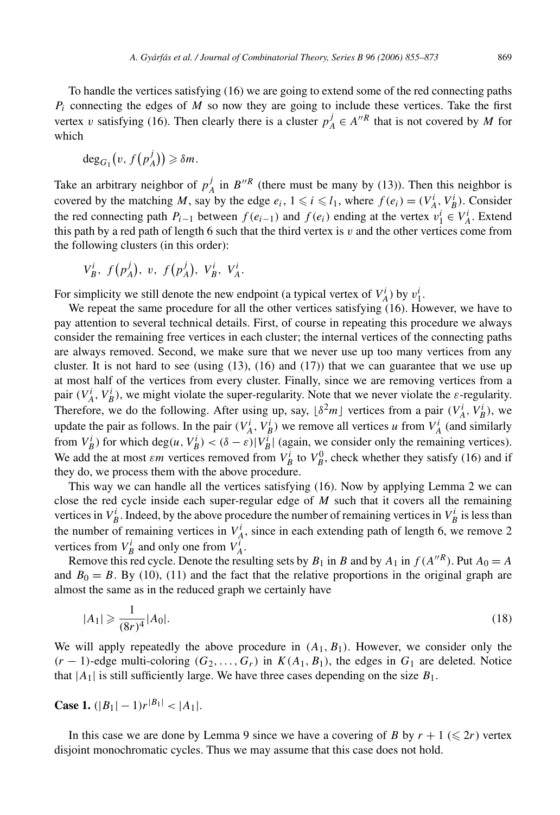To handle the vertices satisfying (16) we are going to extend some of the red connecting paths *Pi* connecting the edges of *M* so now they are going to include these vertices. Take the first vertex *v* satisfying (16). Then clearly there is a cluster  $p_A^j \in A''^R$  that is not covered by *M* for which

$$
\deg_{G_1}(v, f(p^j_A)) \geq \delta m.
$$

Take an arbitrary neighbor of  $p_A^j$  in  $B''^R$  (there must be many by (13)). Then this neighbor is covered by the matching *M*, say by the edge  $e_i$ ,  $1 \leq i \leq l_1$ , where  $f(e_i) = (V_A^i, V_B^i)$ . Consider the red connecting path  $P_{i-1}$  between  $f(e_{i-1})$  and  $f(e_i)$  ending at the vertex  $v_1^i \in V_A^i$ . Extend this path by a red path of length 6 such that the third vertex is *v* and the other vertices come from the following clusters (in this order):

$$
V_B^i
$$
,  $f(p_A^j)$ , v,  $f(p_A^j)$ ,  $V_B^i$ ,  $V_A^i$ .

For simplicity we still denote the new endpoint (a typical vertex of  $V_A^i$ ) by  $v_1^i$ .

We repeat the same procedure for all the other vertices satisfying (16). However, we have to pay attention to several technical details. First, of course in repeating this procedure we always consider the remaining free vertices in each cluster; the internal vertices of the connecting paths are always removed. Second, we make sure that we never use up too many vertices from any cluster. It is not hard to see (using  $(13)$ ,  $(16)$  and  $(17)$ ) that we can guarantee that we use up at most half of the vertices from every cluster. Finally, since we are removing vertices from a pair  $(V_A^i, V_B^i)$ , we might violate the super-regularity. Note that we never violate the *ε*-regularity. Therefore, we do the following. After using up, say,  $\lfloor \delta^2 m \rfloor$  vertices from a pair  $(V_A^i, V_B^i)$ , we update the pair as follows. In the pair  $(V_A^i, V_B^i)$  we remove all vertices *u* from  $V_A^i$  (and similarly from  $V_B^i$ ) for which deg $(u, V_B^i) < (\delta - \varepsilon)|V_B^i|$  (again, we consider only the remaining vertices). We add the at most *εm* vertices removed from  $V_B^i$  to  $V_B^0$ , check whether they satisfy (16) and if they do, we process them with the above procedure.

This way we can handle all the vertices satisfying (16). Now by applying Lemma 2 we can close the red cycle inside each super-regular edge of *M* such that it covers all the remaining vertices in  $V_B^i$ . Indeed, by the above procedure the number of remaining vertices in  $V_B^i$  is less than the number of remaining vertices in  $V_A^i$ , since in each extending path of length 6, we remove 2 vertices from  $V_B^i$  and only one from  $V_A^i$ .

Remove this red cycle. Denote the resulting sets by  $B_1$  in *B* and by  $A_1$  in  $f(A''^R)$ . Put  $A_0 = A$ and  $B_0 = B$ . By (10), (11) and the fact that the relative proportions in the original graph are almost the same as in the reduced graph we certainly have

$$
|A_1| \geqslant \frac{1}{(8r)^4} |A_0|.
$$
 (18)

We will apply repeatedly the above procedure in  $(A_1, B_1)$ . However, we consider only the  $(r-1)$ -edge multi-coloring  $(G_2, \ldots, G_r)$  in  $K(A_1, B_1)$ , the edges in  $G_1$  are deleted. Notice that  $|A_1|$  is still sufficiently large. We have three cases depending on the size  $B_1$ .

**Case 1.** 
$$
(|B_1| - 1)r^{|B_1|} < |A_1|
$$
.

In this case we are done by Lemma 9 since we have a covering of *B* by  $r + 1 \leq 2r$  vertex disjoint monochromatic cycles. Thus we may assume that this case does not hold.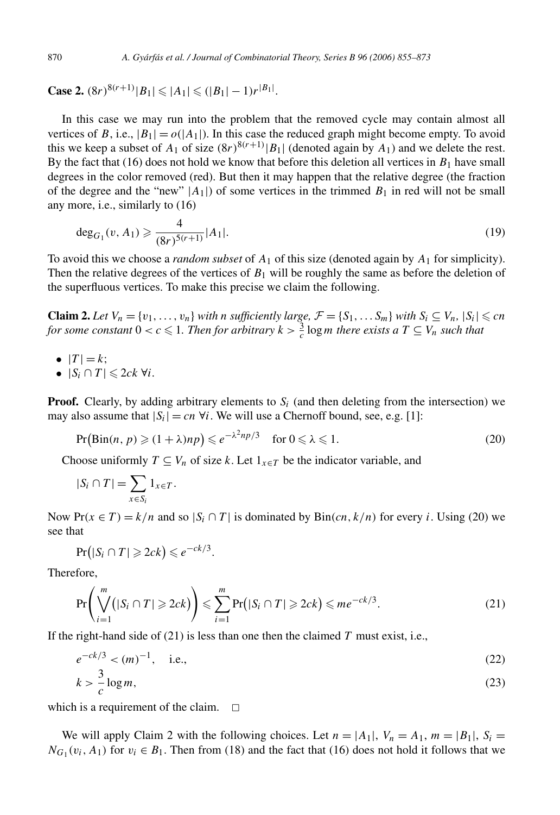**Case 2.**  $(8r)^{8(r+1)} |B_1| \leq |A_1| \leq (|B_1| - 1)r^{|B_1|}$ .

In this case we may run into the problem that the removed cycle may contain almost all vertices of *B*, i.e.,  $|B_1| = o(|A_1|)$ . In this case the reduced graph might become empty. To avoid this we keep a subset of  $A_1$  of size  $(8r)^{8(r+1)}|B_1|$  (denoted again by  $A_1$ ) and we delete the rest. By the fact that  $(16)$  does not hold we know that before this deletion all vertices in  $B_1$  have small degrees in the color removed (red). But then it may happen that the relative degree (the fraction of the degree and the "new"  $|A_1|$ ) of some vertices in the trimmed  $B_1$  in red will not be small any more, i.e., similarly to (16)

$$
\deg_{G_1}(v, A_1) \geqslant \frac{4}{(8r)^{5(r+1)}} |A_1|.
$$
\n(19)

To avoid this we choose a *random subset* of *A*<sup>1</sup> of this size (denoted again by *A*<sup>1</sup> for simplicity). Then the relative degrees of the vertices of  $B_1$  will be roughly the same as before the deletion of the superfluous vertices. To make this precise we claim the following.

**Claim 2.** Let  $V_n = \{v_1, \ldots, v_n\}$  *with n sufficiently large,*  $\mathcal{F} = \{S_1, \ldots, S_m\}$  *with*  $S_i \subseteq V_n$ ,  $|S_i| \leq cn$ *for some constant*  $0 < c \leq 1$ . Then for arbitrary  $k > \frac{3}{c} \log m$  there exists a  $T \subseteq V_n$  such that

$$
\bullet \ \ |T| = k;
$$

•  $|S_i \cap T| \leqslant 2ck \; \forall i$ .

**Proof.** Clearly, by adding arbitrary elements to  $S_i$  (and then deleting from the intersection) we may also assume that  $|S_i| = cn \forall i$ . We will use a Chernoff bound, see, e.g. [1]:

$$
\Pr(\text{Bin}(n, p) \geqslant (1 + \lambda)np) \leqslant e^{-\lambda^2np/3} \quad \text{for } 0 \leqslant \lambda \leqslant 1. \tag{20}
$$

Choose uniformly  $T \subseteq V_n$  of size k. Let  $1_{x \in T}$  be the indicator variable, and

$$
|S_i \cap T| = \sum_{x \in S_i} 1_{x \in T}.
$$

Now  $Pr(x \in T) = k/n$  and so  $|S_i \cap T|$  is dominated by  $Bin(cn, k/n)$  for every *i*. Using (20) we see that

$$
Pr(|S_i \cap T| \geqslant 2ck) \leqslant e^{-ck/3}.
$$

Therefore,

$$
\Pr\left(\bigvee_{i=1}^{m}(|S_i \cap T| \geqslant 2ck)\right) \leqslant \sum_{i=1}^{m} \Pr\big(|S_i \cap T| \geqslant 2ck\big) \leqslant me^{-ck/3}.\tag{21}
$$

If the right-hand side of (21) is less than one then the claimed *T* must exist, i.e.,

$$
e^{-ck/3} < (m)^{-1}, \quad \text{i.e.,} \tag{22}
$$

$$
k > \frac{3}{c} \log m,\tag{23}
$$

which is a requirement of the claim.  $\square$ 

We will apply Claim 2 with the following choices. Let  $n = |A_1|$ ,  $V_n = A_1$ ,  $m = |B_1|$ ,  $S_i$  $N_{G_1}(v_i, A_1)$  for  $v_i \in B_1$ . Then from (18) and the fact that (16) does not hold it follows that we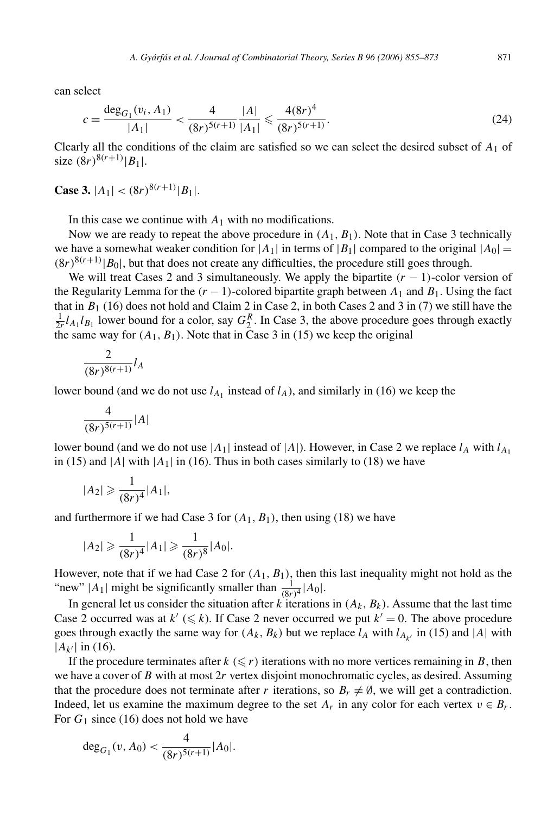can select

$$
c = \frac{\deg_{G_1}(v_i, A_1)}{|A_1|} < \frac{4}{(8r)^{5(r+1)}} \frac{|A|}{|A_1|} \leqslant \frac{4(8r)^4}{(8r)^{5(r+1)}}.
$$
\n(24)

Clearly all the conditions of the claim are satisfied so we can select the desired subset of  $A_1$  of size  $(8r)^{8(r+1)}|B_1|$ .

**Case 3.**  $|A_1| < (8r)^{8(r+1)} |B_1|$ .

In this case we continue with  $A_1$  with no modifications.

Now we are ready to repeat the above procedure in  $(A_1, B_1)$ . Note that in Case 3 technically we have a somewhat weaker condition for  $|A_1|$  in terms of  $|B_1|$  compared to the original  $|A_0|$  =  $(8r)^{8(r+1)}$   $|B_0|$ , but that does not create any difficulties, the procedure still goes through.

We will treat Cases 2 and 3 simultaneously. We apply the bipartite  $(r - 1)$ -color version of the Regularity Lemma for the  $(r - 1)$ -colored bipartite graph between  $A_1$  and  $B_1$ . Using the fact that in  $B_1$  (16) does not hold and Claim 2 in Case 2, in both Cases 2 and 3 in (7) we still have the  $\frac{1}{2r}l_{A_1}l_{B_1}$  lower bound for a color, say  $G_2^R$ . In Case 3, the above procedure goes through exactly the same way for  $(A_1, B_1)$ . Note that in Case 3 in (15) we keep the original

$$
\frac{2}{(8r)^{8(r+1)}}l_A
$$

lower bound (and we do not use  $l_{A_1}$  instead of  $l_A$ ), and similarly in (16) we keep the

$$
\frac{4}{(8r)^{5(r+1)}}|A|
$$

lower bound (and we do not use  $|A_1|$  instead of  $|A|$ ). However, in Case 2 we replace  $l_A$  with  $l_{A_1}$ in (15) and  $|A|$  with  $|A_1|$  in (16). Thus in both cases similarly to (18) we have

$$
|A_2| \geqslant \frac{1}{(8r)^4} |A_1|,
$$

and furthermore if we had Case 3 for  $(A_1, B_1)$ , then using (18) we have

$$
|A_2| \geqslant \frac{1}{(8r)^4} |A_1| \geqslant \frac{1}{(8r)^8} |A_0|.
$$

However, note that if we had Case 2 for  $(A_1, B_1)$ , then this last inequality might not hold as the "new"  $|A_1|$  might be significantly smaller than  $\frac{1}{(8r)^4}$  |  $A_0|$ .

In general let us consider the situation after  $k$  iterations in  $(A_k, B_k)$ . Assume that the last time Case 2 occurred was at  $k' \leq k$ ). If Case 2 never occurred we put  $k' = 0$ . The above procedure goes through exactly the same way for  $(A_k, B_k)$  but we replace  $l_A$  with  $l_{A_{k'}}$  in (15) and |A| with  $|A_{k'}|$  in (16).

If the procedure terminates after  $k \leq r$ ) iterations with no more vertices remaining in *B*, then we have a cover of *B* with at most 2*r* vertex disjoint monochromatic cycles, as desired. Assuming that the procedure does not terminate after *r* iterations, so  $B_r \neq \emptyset$ , we will get a contradiction. Indeed, let us examine the maximum degree to the set  $A_r$  in any color for each vertex  $v \in B_r$ . For  $G_1$  since (16) does not hold we have

$$
\deg_{G_1}(v, A_0) < \frac{4}{(8r)^{5(r+1)}} |A_0|.
$$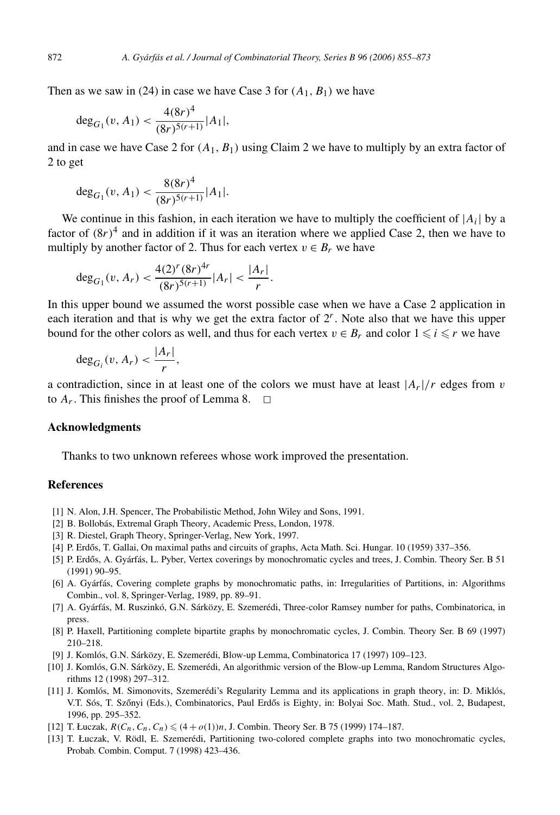Then as we saw in (24) in case we have Case 3 for  $(A_1, B_1)$  we have

$$
\deg_{G_1}(v, A_1) < \frac{4(8r)^4}{(8r)^{5(r+1)}} |A_1|,
$$

and in case we have Case 2 for  $(A_1, B_1)$  using Claim 2 we have to multiply by an extra factor of 2 to get

$$
\deg_{G_1}(v, A_1) < \frac{8(8r)^4}{(8r)^{5(r+1)}} |A_1|.
$$

We continue in this fashion, in each iteration we have to multiply the coefficient of  $|A_i|$  by a factor of  $(8r)^4$  and in addition if it was an iteration where we applied Case 2, then we have to multiply by another factor of 2. Thus for each vertex  $v \in B_r$  we have

$$
\deg_{G_1}(v, A_r) < \frac{4(2)^r (8r)^{4r}}{(8r)^{5(r+1)}} |A_r| < \frac{|A_r|}{r}.
$$

In this upper bound we assumed the worst possible case when we have a Case 2 application in each iteration and that is why we get the extra factor of  $2<sup>r</sup>$ . Note also that we have this upper bound for the other colors as well, and thus for each vertex  $v \in B_r$  and color  $1 \leq i \leq r$  we have

$$
\deg_{G_i}(v, A_r) < \frac{|A_r|}{r},
$$

a contradiction, since in at least one of the colors we must have at least  $|A_r|/r$  edges from *v* to  $A_r$ . This finishes the proof of Lemma 8.  $\Box$ 

## **Acknowledgments**

Thanks to two unknown referees whose work improved the presentation.

# **References**

- [1] N. Alon, J.H. Spencer, The Probabilistic Method, John Wiley and Sons, 1991.
- [2] B. Bollobás, Extremal Graph Theory, Academic Press, London, 1978.
- [3] R. Diestel, Graph Theory, Springer-Verlag, New York, 1997.
- [4] P. Erdős, T. Gallai, On maximal paths and circuits of graphs, Acta Math. Sci. Hungar. 10 (1959) 337–356.
- [5] P. Erdős, A. Gyárfás, L. Pyber, Vertex coverings by monochromatic cycles and trees, J. Combin. Theory Ser. B 51 (1991) 90–95.
- [6] A. Gyárfás, Covering complete graphs by monochromatic paths, in: Irregularities of Partitions, in: Algorithms Combin., vol. 8, Springer-Verlag, 1989, pp. 89–91.
- [7] A. Gyárfás, M. Ruszinkó, G.N. Sárközy, E. Szemerédi, Three-color Ramsey number for paths, Combinatorica, in press.
- [8] P. Haxell, Partitioning complete bipartite graphs by monochromatic cycles, J. Combin. Theory Ser. B 69 (1997) 210–218.
- [9] J. Komlós, G.N. Sárközy, E. Szemerédi, Blow-up Lemma, Combinatorica 17 (1997) 109–123.
- [10] J. Komlós, G.N. Sárközy, E. Szemerédi, An algorithmic version of the Blow-up Lemma, Random Structures Algorithms 12 (1998) 297–312.
- [11] J. Komlós, M. Simonovits, Szemerédi's Regularity Lemma and its applications in graph theory, in: D. Miklós, V.T. Sós, T. Szőnyi (Eds.), Combinatorics, Paul Erdős is Eighty, in: Bolyai Soc. Math. Stud., vol. 2, Budapest, 1996, pp. 295–352.
- [12] T. Łuczak,  $R(C_n, C_n, C_n) \leq (4 + o(1))n$ , J. Combin. Theory Ser. B 75 (1999) 174–187.
- [13] T. Łuczak, V. Rödl, E. Szemerédi, Partitioning two-colored complete graphs into two monochromatic cycles, Probab. Combin. Comput. 7 (1998) 423–436.